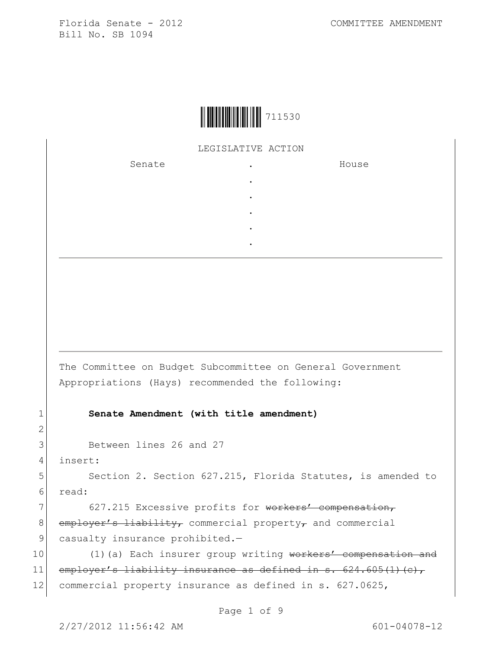

## LEGISLATIVE ACTION

. . . . .

Senate .

House

The Committee on Budget Subcommittee on General Government Appropriations (Hays) recommended the following:

## 1 **Senate Amendment (with title amendment)**

```
3 Between lines 26 and 27
```
4 insert:

2

5 Section 2. Section 627.215, Florida Statutes, is amended to 6 read:

7 627.215 Excessive profits for workers' compensation, 8 employer's liability, commercial property, and commercial 9 casualty insurance prohibited.-

10 (1)(a) Each insurer group writing workers' compensation and 11 employer's liability insurance as defined in s.  $624.605(1)(c)$ , 12 commercial property insurance as defined in s. 627.0625,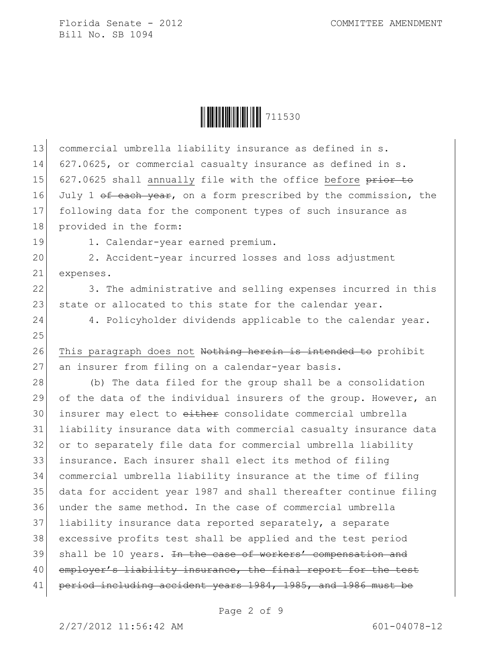

| 13 | commercial umbrella liability insurance as defined in s.                     |
|----|------------------------------------------------------------------------------|
| 14 | 627.0625, or commercial casualty insurance as defined in s.                  |
| 15 | 627.0625 shall annually file with the office before prior to                 |
| 16 | July 1 <del>of each year</del> , on a form prescribed by the commission, the |
| 17 | following data for the component types of such insurance as                  |
| 18 | provided in the form:                                                        |
| 19 | 1. Calendar-year earned premium.                                             |
| 20 | 2. Accident-year incurred losses and loss adjustment                         |
| 21 | expenses.                                                                    |
| 22 | 3. The administrative and selling expenses incurred in this                  |
| 23 | state or allocated to this state for the calendar year.                      |
| 24 | 4. Policyholder dividends applicable to the calendar year.                   |
| 25 |                                                                              |
| 26 | This paragraph does not Nothing herein is intended to prohibit               |
| 27 | an insurer from filing on a calendar-year basis.                             |
| 28 | (b) The data filed for the group shall be a consolidation                    |
| 29 | of the data of the individual insurers of the group. However, an             |
| 30 | insurer may elect to either consolidate commercial umbrella                  |
| 31 | liability insurance data with commercial casualty insurance data             |
| 32 | or to separately file data for commercial umbrella liability                 |
| 33 | insurance. Each insurer shall elect its method of filing                     |
| 34 | commercial umbrella liability insurance at the time of filing                |
| 35 | data for accident year 1987 and shall thereafter continue filing             |
| 36 | under the same method. In the case of commercial umbrella                    |
| 37 | liability insurance data reported separately, a separate                     |
| 38 | excessive profits test shall be applied and the test period                  |
| 39 | shall be 10 years. In the case of workers' compensation and                  |
| 40 | employer's liability insurance, the final report for the test                |
| 41 | period including accident years 1984, 1985, and 1986 must be                 |

Page 2 of 9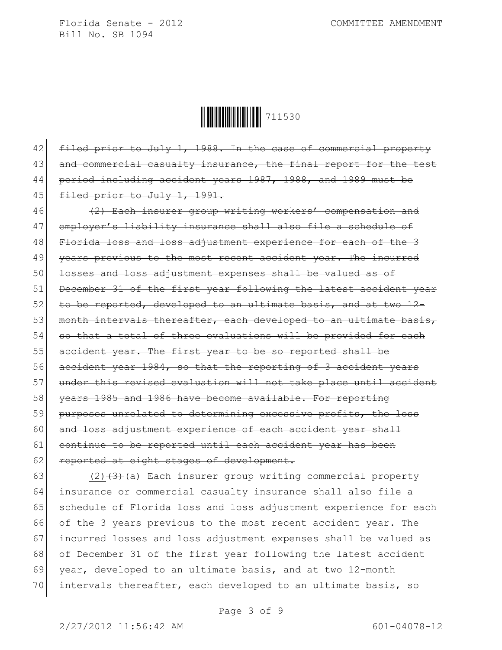Ì711530kÎ711530

42 filed prior to July 1, 1988. In the case of commercial property 43 and commercial casualty insurance, the final report for the test 44 period including accident years 1987, 1988, and 1989 must be 45 filed prior to July 1, 1991.

46 (2) Each insurer group writing workers' compensation and 47 employer's liability insurance shall also file a schedule of 48 Florida loss and loss adjustment experience for each of the 3 49 years previous to the most recent accident year. The incurred 50 <del>losses and loss adjustment expenses shall be valued as of</del> 51 December 31 of the first year following the latest accident year 52 to be reported, developed to an ultimate basis, and at two 12-53 month intervals thereafter, each developed to an ultimate basis,  $54$  so that a total of three evaluations will be provided for each 55 accident year. The first year to be so reported shall be 56 accident year 1984, so that the reporting of 3 accident years 57 under this revised evaluation will not take place until accident 58 years 1985 and 1986 have become available. For reporting 59 purposes unrelated to determining excessive profits, the loss 60 and loss adjustment experience of each accident year shall 61 continue to be reported until each accident year has been 62 reported at eight stages of development.

63 (2) $(2)$  (a) Each insurer group writing commercial property insurance or commercial casualty insurance shall also file a 65 schedule of Florida loss and loss adjustment experience for each of the 3 years previous to the most recent accident year. The incurred losses and loss adjustment expenses shall be valued as of December 31 of the first year following the latest accident 69 year, developed to an ultimate basis, and at two 12-month intervals thereafter, each developed to an ultimate basis, so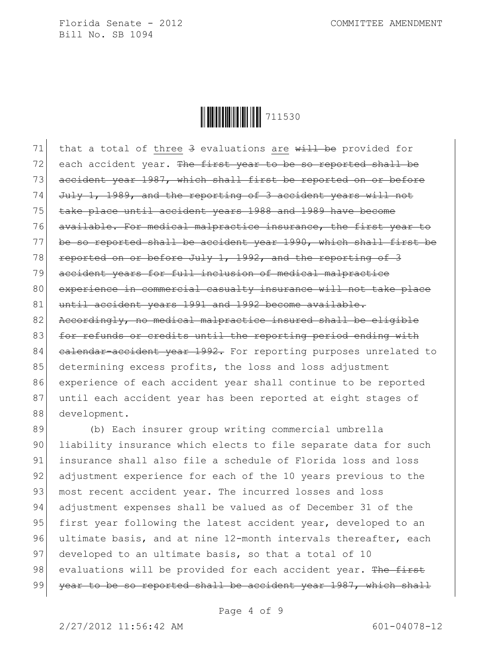

71 that a total of three  $3$  evaluations are will be provided for  $72$  each accident year. The first year to be so reported shall be 73 accident year 1987, which shall first be reported on or before 74 July 1, 1989, and the reporting of 3 accident years will not 75 take place until accident years 1988 and 1989 have become 76 available. For medical malpractice insurance, the first year to 77 be so reported shall be accident year 1990, which shall first be 78 reported on or before July 1, 1992, and the reporting of 3 79 accident years for full inclusion of medical malpractice 80 experience in commercial casualty insurance will not take place 81 until accident years 1991 and 1992 become available. 82 Accordingly, no medical malpractice insured shall be eligible 83 for refunds or credits until the reporting period ending with 84 calendar-accident year 1992. For reporting purposes unrelated to 85 determining excess profits, the loss and loss adjustment 86 experience of each accident year shall continue to be reported 87 until each accident year has been reported at eight stages of 88 development.

89 (b) Each insurer group writing commercial umbrella 90 liability insurance which elects to file separate data for such 91 insurance shall also file a schedule of Florida loss and loss 92 adjustment experience for each of the 10 years previous to the 93 most recent accident year. The incurred losses and loss 94 adjustment expenses shall be valued as of December 31 of the 95 first year following the latest accident year, developed to an 96 ultimate basis, and at nine 12-month intervals thereafter, each 97 developed to an ultimate basis, so that a total of 10 98 evaluations will be provided for each accident year. The first 99 <del>year to be so reported shall be accident year 1987, which shall</del>

Page 4 of 9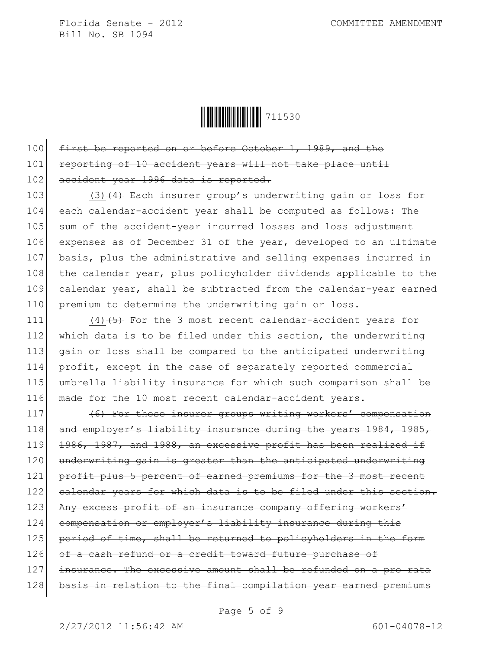

100 first be reported on or before October 1, 1989, and the 101 reporting of 10 accident years will not take place until 102 accident year 1996 data is reported.

103 (3)  $\left(4\right)$  Each insurer group's underwriting gain or loss for 104 each calendar-accident year shall be computed as follows: The 105 sum of the accident-year incurred losses and loss adjustment 106 expenses as of December 31 of the year, developed to an ultimate 107 basis, plus the administrative and selling expenses incurred in 108 the calendar year, plus policyholder dividends applicable to the 109 calendar year, shall be subtracted from the calendar-year earned 110 premium to determine the underwriting gain or loss.

 $(4)$   $(5)$  For the 3 most recent calendar-accident years for 112 which data is to be filed under this section, the underwriting gain or loss shall be compared to the anticipated underwriting profit, except in the case of separately reported commercial umbrella liability insurance for which such comparison shall be made for the 10 most recent calendar-accident years.

117 (6) For those insurer groups writing workers' compensation 118 and employer's liability insurance during the years 1984, 1985, 119 1986, 1987, and 1988, an excessive profit has been realized if 120 underwriting gain is greater than the anticipated underwriting 121 profit plus 5 percent of earned premiums for the 3 most recent 122 calendar years for which data is to be filed under this section. 123 Any excess profit of an insurance company offering workers' 124 compensation or employer's liability insurance during this 125 period of time, shall be returned to policyholders in the form 126 of a cash refund or a credit toward future purchase of 127 insurance. The excessive amount shall be refunded on a pro rata 128 basis in relation to the final compilation year earned premiums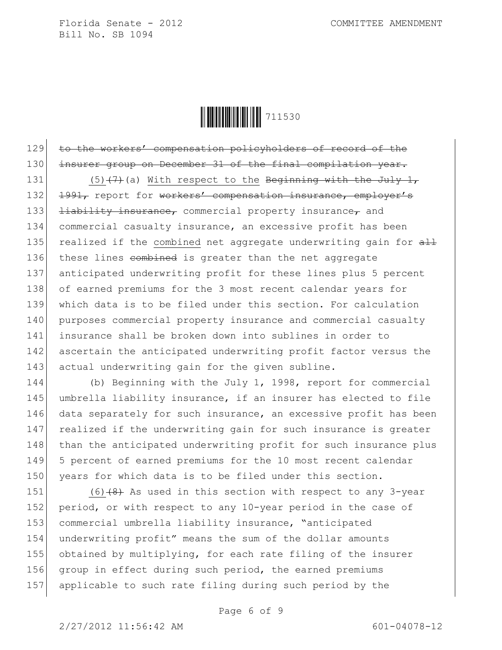

129 to the workers' compensation policyholders of record of the 130 insurer group on December 31 of the final compilation year.

131 (5)  $\left(7\right)$  (a) With respect to the Beginning with the July 1, 132 1991, report for workers' compensation insurance, employer's 133 **liability insurance,** commercial property insurance, and 134 commercial casualty insurance, an excessive profit has been 135 realized if the combined net aggregate underwriting gain for  $\frac{11}{2}$ 136 these lines combined is greater than the net aggregate 137 anticipated underwriting profit for these lines plus 5 percent 138 of earned premiums for the 3 most recent calendar years for 139 which data is to be filed under this section. For calculation 140 purposes commercial property insurance and commercial casualty 141 insurance shall be broken down into sublines in order to 142 ascertain the anticipated underwriting profit factor versus the 143 actual underwriting gain for the given subline.

144 (b) Beginning with the July 1, 1998, report for commercial 145 umbrella liability insurance, if an insurer has elected to file 146 data separately for such insurance, an excessive profit has been 147 realized if the underwriting gain for such insurance is greater 148 than the anticipated underwriting profit for such insurance plus 149 5 percent of earned premiums for the 10 most recent calendar 150 years for which data is to be filed under this section.

151  $(6)$   $(8)$  As used in this section with respect to any 3-year 152 period, or with respect to any 10-year period in the case of 153 commercial umbrella liability insurance, "anticipated 154 underwriting profit" means the sum of the dollar amounts 155 obtained by multiplying, for each rate filing of the insurer 156 group in effect during such period, the earned premiums 157 applicable to such rate filing during such period by the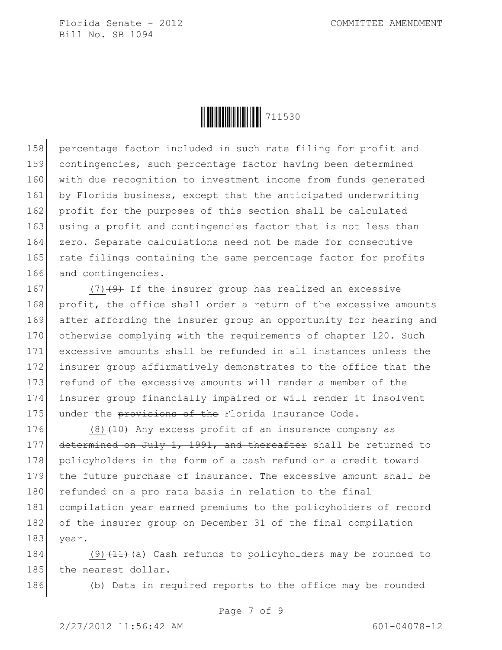

158 percentage factor included in such rate filing for profit and 159 contingencies, such percentage factor having been determined 160 with due recognition to investment income from funds generated 161 by Florida business, except that the anticipated underwriting 162 profit for the purposes of this section shall be calculated 163 using a profit and contingencies factor that is not less than 164 zero. Separate calculations need not be made for consecutive 165 rate filings containing the same percentage factor for profits 166 and contingencies.

167 (7)<del>(9)</del> If the insurer group has realized an excessive 168 profit, the office shall order a return of the excessive amounts 169 after affording the insurer group an opportunity for hearing and 170 otherwise complying with the requirements of chapter 120. Such 171 excessive amounts shall be refunded in all instances unless the 172 insurer group affirmatively demonstrates to the office that the 173 refund of the excessive amounts will render a member of the 174 insurer group financially impaired or will render it insolvent 175 under the provisions of the Florida Insurance Code.

176  $(8)$   $(10)$  Any excess profit of an insurance company  $\frac{100}{100}$ 177 determined on July 1, 1991, and thereafter shall be returned to 178 policyholders in the form of a cash refund or a credit toward 179 the future purchase of insurance. The excessive amount shall be 180 refunded on a pro rata basis in relation to the final 181 compilation year earned premiums to the policyholders of record 182 of the insurer group on December 31 of the final compilation 183 year.

184 (9) $(11)$  (a) Cash refunds to policyholders may be rounded to 185 the nearest dollar.

186 (b) Data in required reports to the office may be rounded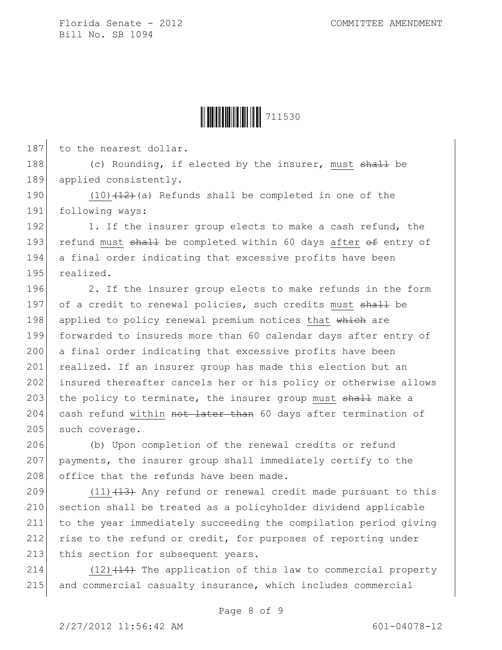

187 to the nearest dollar.

188 (c) Rounding, if elected by the insurer, must shall be 189 applied consistently.

190  $(10)$   $(12)$  (a) Refunds shall be completed in one of the 191 following ways:

192 1. If the insurer group elects to make a cash refund, the 193 refund must  $\frac{193}{193}$  be completed within 60 days after  $\frac{1}{2}$  entry of 194 a final order indicating that excessive profits have been 195 realized.

196 2. If the insurer group elects to make refunds in the form 197 of a credit to renewal policies, such credits must shall be 198 applied to policy renewal premium notices that which are 199 forwarded to insureds more than 60 calendar days after entry of 200 a final order indicating that excessive profits have been 201 realized. If an insurer group has made this election but an 202 insured thereafter cancels her or his policy or otherwise allows 203 the policy to terminate, the insurer group must shall make a 204 cash refund within not later than 60 days after termination of 205 such coverage.

206 (b) Upon completion of the renewal credits or refund 207 payments, the insurer group shall immediately certify to the  $208$  office that the refunds have been made.

209  $(11)$   $(13)$  Any refund or renewal credit made pursuant to this 210 section shall be treated as a policyholder dividend applicable 211 to the year immediately succeeding the compilation period giving 212 rise to the refund or credit, for purposes of reporting under 213 this section for subsequent years.

214  $(12)$   $(14)$  The application of this law to commercial property 215 and commercial casualty insurance, which includes commercial